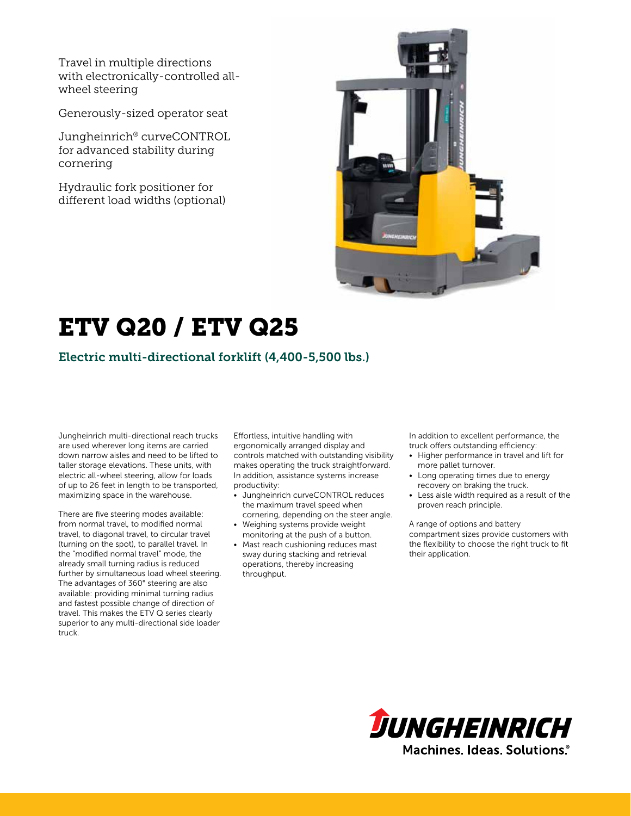Travel in multiple directions with electronically-controlled allwheel steering

Generously-sized operator seat

Jungheinrich® curveCONTROL for advanced stability during cornering

Hydraulic fork positioner for different load widths (optional)



## ETV Q20 / ETV Q25

### Electric multi-directional forklift (4,400-5,500 lbs.)

Jungheinrich multi-directional reach trucks are used wherever long items are carried down narrow aisles and need to be lifted to taller storage elevations. These units, with electric all-wheel steering, allow for loads of up to 26 feet in length to be transported, maximizing space in the warehouse.

There are five steering modes available: from normal travel, to modified normal travel, to diagonal travel, to circular travel (turning on the spot), to parallel travel. In the "modified normal travel" mode, the already small turning radius is reduced further by simultaneous load wheel steering. The advantages of 360° steering are also available: providing minimal turning radius and fastest possible change of direction of travel. This makes the ETV Q series clearly superior to any multi-directional side loader truck.

Effortless, intuitive handling with ergonomically arranged display and controls matched with outstanding visibility makes operating the truck straightforward. In addition, assistance systems increase productivity:

- Jungheinrich curveCONTROL reduces the maximum travel speed when cornering, depending on the steer angle.
- Weighing systems provide weight monitoring at the push of a button.
- Mast reach cushioning reduces mast sway during stacking and retrieval operations, thereby increasing throughput.

In addition to excellent performance, the truck offers outstanding efficiency:

- Higher performance in travel and lift for more pallet turnover.
- Long operating times due to energy recovery on braking the truck.
- Less aisle width required as a result of the proven reach principle.

A range of options and battery compartment sizes provide customers with the flexibility to choose the right truck to fit their application.

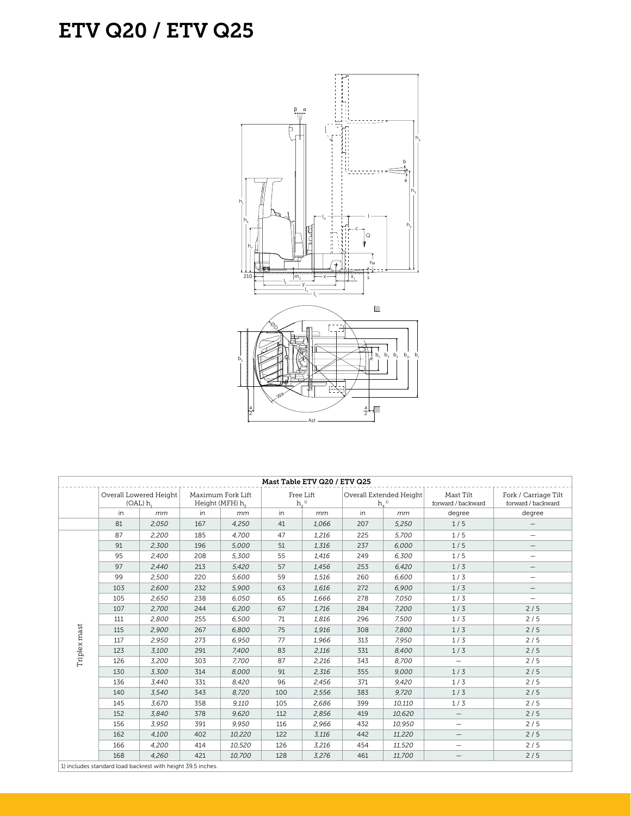## ETV Q20 / ETV Q25



| Mast Table ETV Q20 / ETV Q25                                |                                    |       |                                                  |        |                                 |       |                                  |        |                                 |                                            |  |
|-------------------------------------------------------------|------------------------------------|-------|--------------------------------------------------|--------|---------------------------------|-------|----------------------------------|--------|---------------------------------|--------------------------------------------|--|
|                                                             | Overall Lowered Height<br>(OAL) h, |       | Maximum Fork Lift<br>Height (MFH) h <sub>z</sub> |        | Free Lift<br>$h,$ <sup>1)</sup> |       | Overall Extended Height<br>$h^1$ |        | Mast Tilt<br>forward / backward | Fork / Carriage Tilt<br>forward / backward |  |
|                                                             | in                                 | mm    | in                                               | mm     | in                              | mm    | in                               | mm     | degree                          | degree                                     |  |
|                                                             | 81                                 | 2,050 | 167                                              | 4,250  | 41                              | 1,066 | 207                              | 5,250  | 1/5                             |                                            |  |
|                                                             | 87                                 | 2,200 | 185                                              | 4,700  | 47                              | 1,216 | 225                              | 5,700  | 1/5                             | —                                          |  |
|                                                             | 91                                 | 2,300 | 196                                              | 5,000  | 51                              | 1,316 | 237                              | 6,000  | 1/5                             |                                            |  |
|                                                             | 95                                 | 2,400 | 208                                              | 5,300  | 55                              | 1,416 | 249                              | 6,300  | 1/5                             | —                                          |  |
|                                                             | 97                                 | 2,440 | 213                                              | 5,420  | 57                              | 1,456 | 253                              | 6,420  | 1/3                             | —                                          |  |
|                                                             | 99                                 | 2,500 | 220                                              | 5,600  | 59                              | 1,516 | 260                              | 6.600  | 1/3                             | —                                          |  |
|                                                             | 103                                | 2,600 | 232                                              | 5,900  | 63                              | 1,616 | 272                              | 6.900  | 1/3                             | —                                          |  |
|                                                             | 105                                | 2,650 | 238                                              | 6,050  | 65                              | 1,666 | 278                              | 7,050  | 1/3                             | $\overline{\phantom{0}}$                   |  |
|                                                             | 107                                | 2,700 | 244                                              | 6,200  | 67                              | 1,716 | 284                              | 7,200  | 1/3                             | 2/5                                        |  |
|                                                             | 111                                | 2,800 | 255                                              | 6,500  | 71                              | 1,816 | 296                              | 7,500  | 1/3                             | 2/5                                        |  |
|                                                             | 115                                | 2,900 | 267                                              | 6,800  | 75                              | 1,916 | 308                              | 7,800  | 1/3                             | 2/5                                        |  |
| Triplex mast                                                | 117                                | 2,950 | 273                                              | 6,950  | 77                              | 1,966 | 313                              | 7,950  | 1/3                             | 2/5                                        |  |
|                                                             | 123                                | 3,100 | 291                                              | 7,400  | 83                              | 2,116 | 331                              | 8,400  | 1/3                             | 2/5                                        |  |
|                                                             | 126                                | 3,200 | 303                                              | 7,700  | 87                              | 2,216 | 343                              | 8,700  |                                 | 2/5                                        |  |
|                                                             | 130                                | 3,300 | 314                                              | 8,000  | 91                              | 2,316 | 355                              | 9,000  | 1/3                             | 2/5                                        |  |
|                                                             | 136                                | 3,440 | 331                                              | 8,420  | 96                              | 2,456 | 371                              | 9,420  | 1/3                             | 2/5                                        |  |
|                                                             | 140                                | 3,540 | 343                                              | 8,720  | 100                             | 2,556 | 383                              | 9,720  | 1/3                             | 2/5                                        |  |
|                                                             | 145                                | 3.670 | 358                                              | 9,110  | 105                             | 2,686 | 399                              | 10,110 | 1/3                             | 2/5                                        |  |
|                                                             | 152                                | 3,840 | 378                                              | 9,620  | 112                             | 2,856 | 419                              | 10,620 | $\overline{\phantom{0}}$        | 2/5                                        |  |
|                                                             | 156                                | 3,950 | 391                                              | 9,950  | 116                             | 2,966 | 432                              | 10,950 |                                 | 2/5                                        |  |
|                                                             | 162                                | 4,100 | 402                                              | 10,220 | 122                             | 3,116 | 442                              | 11,220 | $\overline{\phantom{m}}$        | 2/5                                        |  |
|                                                             | 166                                | 4,200 | 414                                              | 10,520 | 126                             | 3,216 | 454                              | 11,520 | $\qquad \qquad -$               | 2/5                                        |  |
|                                                             | 168                                | 4,260 | 421                                              | 10,700 | 128                             | 3,276 | 461                              | 11,700 |                                 | 2/5                                        |  |
| 1) includes standard load backrest with height 39.5 inches. |                                    |       |                                                  |        |                                 |       |                                  |        |                                 |                                            |  |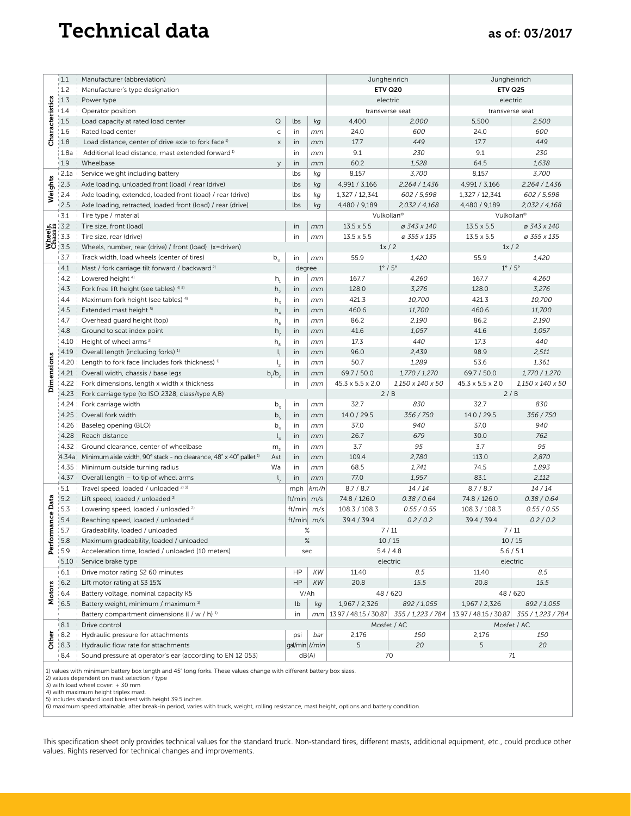### Technical data as of: 03/2017

|                                 | 1.1        | Manufacturer (abbreviation)                                                   | Jungheinrich   |                      | Jungheinrich    |                                  |                         |                                  |                         |
|---------------------------------|------------|-------------------------------------------------------------------------------|----------------|----------------------|-----------------|----------------------------------|-------------------------|----------------------------------|-------------------------|
|                                 | 1.2        | Manufacturer's type designation                                               |                | <b>ETV Q20</b>       | ETV Q25         |                                  |                         |                                  |                         |
|                                 | 1.3        | Power type                                                                    |                |                      |                 | electric                         |                         | electric                         |                         |
| Characteristics<br>Weights      | 1.4        | Operator position                                                             |                |                      |                 | transverse seat                  |                         | transverse seat                  |                         |
|                                 | 1.5        | Load capacity at rated load center                                            |                | lbs                  | kg              | 4,400                            | 2,000                   | 5,500                            | 2,500                   |
|                                 | 1.6        | Rated load center                                                             | $\mathsf{C}$   | in                   | mm              | 24.0                             | 600                     | 24.0                             | 600                     |
|                                 | 1.8        | Load distance, center of drive axle to fork face <sup>1)</sup>                | $\mathsf X$    | in                   | mm              | 17.7                             | 449                     | 17.7                             | 449                     |
|                                 | 1.8a       | Additional load distance, mast extended forward <sup>1)</sup>                 |                | in                   | mm              | 9.1                              | 230                     | 9.1                              | 230                     |
|                                 | 1.9        | Wheelbase                                                                     | y              | in                   | mm              | 60.2                             | 1,528                   | 64.5                             | 1,638                   |
|                                 | 2.1a       | Service weight including battery                                              |                | lbs                  | kg              | 8,157                            | 3,700                   | 8,157                            | 3,700                   |
|                                 | 2.3        | Axle loading, unloaded front (load) / rear (drive)                            |                | lbs                  | kg              | 4,991 / 3,166                    | 2,264 / 1,436           | 4,991 / 3,166                    | 2,264 / 1,436           |
|                                 | 2.4        | Axle loading, extended, loaded front (load) / rear (drive)                    |                | lbs                  | kg              | 1,327 / 12,341                   | 602 / 5,598             | 1,327 / 12,341                   | 602 / 5,598             |
|                                 | 2.5        | Axle loading, retracted, loaded front (load) / rear (drive)                   |                | lbs                  | kg              | 4,480 / 9,189                    | 2,032 / 4,168           | 4,480 / 9,189                    | 2,032 / 4,168           |
|                                 | 3.1        | Tire type / material                                                          |                |                      |                 | Vulkollan <sup>®</sup>           |                         | Vulkollan <sup>®</sup>           |                         |
|                                 |            | Tire size, front (load)                                                       |                |                      | mm              | $13.5 \times 5.5$<br>ø 343 x 140 |                         | $13.5 \times 5.5$<br>ø 343 x 140 |                         |
|                                 |            | Tire size, rear (drive)                                                       |                | in                   | mm              | $13.5 \times 5.5$                | ø 355 x 135             | $13.5 \times 5.5$                | ø 355 x 135             |
| Wheels,<br>Chassis<br>Chass 3.3 |            | Wheels, number, rear (drive) / front (load) (x=driven)                        |                |                      |                 |                                  | 1x/2                    | 1x/2                             |                         |
|                                 | 3.7        | Track width, load wheels (center of tires)                                    |                | $b_{11}$<br>in<br>mm |                 | 55.9<br>1,420                    |                         | 55.9<br>1,420                    |                         |
|                                 | 4.1        | Mast / fork carriage tilt forward / backward <sup>2)</sup>                    |                | degree               |                 | $1^\circ / 5^\circ$              |                         | $1^\circ / 5^\circ$              |                         |
|                                 | 4.2        | Lowered height <sup>4)</sup>                                                  |                | in                   | mm              | 167.7                            | 4,260                   | 167.7                            | 4,260                   |
|                                 | 4.3        | Fork free lift height (see tables) 4) 5)                                      |                | in                   | mm              | 128.0                            | 3,276                   | 128.0                            | 3,276                   |
|                                 | 4.4        | Maximum fork height (see tables) 4)                                           |                | in                   | mm              | 421.3                            | 10,700                  | 421.3                            | 10,700                  |
|                                 | 4.5        | Extended mast height <sup>5)</sup>                                            | h <sub>4</sub> | in                   | mm              | 460.6                            | 11,700                  | 460.6                            | 11,700                  |
|                                 | 4.7        | Overhead guard height (top)                                                   |                | in                   | mm              | 86.2                             | 2,190                   | 86.2                             | 2,190                   |
|                                 | 4.8        | Ground to seat index point                                                    |                | in                   | mm              | 41.6                             | 1,057                   | 41.6                             | 1,057                   |
|                                 | 4.10       | Height of wheel arms <sup>3)</sup>                                            | h <sub>8</sub> | in                   | mm              | 17.3                             | 440                     | 17.3                             | 440                     |
|                                 | 4.19       | Overall length (including forks) <sup>1)</sup>                                |                | in                   | mm              | 96.0                             | 2,439                   | 98.9                             | 2,511                   |
|                                 | 4.20       | Length to fork face (includes fork thickness) <sup>1)</sup>                   | $l_{2}$        | in                   | mm              | 50.7                             | 1,289                   | 53.6                             | 1,361                   |
| Dimensions                      | 4.21       | Overall width, chassis / base legs                                            | $b_1/b_2$      | in                   | mm              | 69.7 / 50.0                      | 1,770 / 1,270           | 69.7 / 50.0                      | 1,770 / 1,270           |
|                                 | 4.22       | Fork dimensions, length x width x thickness                                   |                | in                   | mm              | 45.3 x 5.5 x 2.0                 | 1,150 x 140 x 50        | 45.3 x 5.5 x 2.0                 | 1,150 x 140 x 50        |
|                                 | 4.23       | Fork carriage type (to ISO 2328, class/type A,B)                              |                |                      |                 | 2/B                              |                         | 2/B                              |                         |
|                                 | 4.24       | Fork carriage width                                                           | $b_{3}$        | in                   | mm              | 32.7                             | 830                     | 32.7                             | 830                     |
|                                 | 4.25       | Overall fork width                                                            | b <sub>5</sub> | in                   | mm              | 14.0 / 29.5                      | 356 / 750               | 14.0 / 29.5                      | 356 / 750               |
|                                 | 4.26       | Baseleg opening (BLO)                                                         | b <sub>4</sub> | in                   | mm              | 37.0                             | 940                     | 37.0                             | 940                     |
|                                 | 4.28       | Reach distance                                                                | $\mathsf{I}_4$ | in                   | mm              | 26.7                             | 679                     | 30.0                             | 762                     |
|                                 | 4.32       | Ground clearance, center of wheelbase                                         | m <sub>2</sub> | in                   | mm              | 3.7                              | 95                      | 3.7                              | 95                      |
|                                 | 4.34a      | Minimum aisle width, 90° stack - no clearance, 48" x 40" pallet <sup>1)</sup> | Ast            | in                   | mm              | 109.4                            | 2,780                   | 113.0                            | 2,870                   |
|                                 | 4.35       | Minimum outside turning radius                                                | Wa             | in                   | mm              | 68.5                             | 1,741                   | 74.5                             | 1,893                   |
|                                 | 4.37       | Overall length – to tip of wheel arms                                         | L              | in                   | mm              | 77.0                             | 1,957                   | 83.1                             | 2,112                   |
| mance Data                      | 5.1        | Travel speed, loaded / unloaded 2) 3)                                         |                | mph                  | km/h            | 8.7 / 8.7                        | 14 / 14                 | 8.7 / 8.7                        | 14 / 14                 |
|                                 | 5.2        | Lift speed, loaded / unloaded <sup>2)</sup>                                   |                | ft/min               | m/s             | 74.8 / 126.0                     | 0.38 / 0.64             | 74.8 / 126.0                     | 0.38 / 0.64             |
|                                 | 5.3        | Lowering speed, loaded / unloaded <sup>2)</sup>                               |                | ft/min               | m/s             | 108.3 / 108.3                    | 0.55 / 0.55             | 108.3 / 108.3                    | 0.55 / 0.55             |
|                                 | 5.4        | Reaching speed, loaded / unloaded <sup>2)</sup>                               |                | ft/min $m/s$         |                 | 0.2 / 0.2<br>39.4 / 39.4         |                         | 0.2 / 0.2<br>39.4 / 39.4         |                         |
|                                 | 5.7        | Gradeability, loaded / unloaded                                               |                | $\%$                 |                 | 7/11                             |                         | 7/11                             |                         |
| Perfor                          | 5.8        | Maximum gradeability, loaded / unloaded                                       |                | $\%$                 |                 | 10/15                            |                         | $10\; / \;15$                    |                         |
|                                 | 5.9        | Acceleration time, loaded / unloaded (10 meters)                              |                | sec                  |                 | 5.4 / 4.8                        |                         | 5.6 / 5.1<br>electric            |                         |
| Motors                          | 5.10       | Service brake type                                                            |                |                      |                 | electric<br>8.5<br>11.40         |                         | 8.5<br>11.40                     |                         |
|                                 | 6.1        | Drive motor rating S2 60 minutes                                              |                | HP<br>HP             | KW              |                                  |                         |                                  |                         |
|                                 | 6.2        | Lift motor rating at S3 15%                                                   |                |                      | KW              | 20.8                             | 15.5                    | 20.8                             | 15.5                    |
|                                 | 6.4<br>6.5 | Battery voltage, nominal capacity K5<br>Battery weight, minimum / maximum 1)  |                | V/Ah<br>lb           |                 | 1,967 / 2,326                    | 48 / 620<br>892 / 1,055 | 1,967 / 2,326                    | 48 / 620<br>892 / 1,055 |
|                                 |            | Battery compartment dimensions (I / w / h) <sup>1)</sup>                      |                |                      | kg              | 13.97 / 48.15 / 30.87            | 355 / 1,223 / 784       | 13.97 / 48.15 / 30.87            | 355 / 1,223 / 784       |
| Other                           | 8.1        |                                                                               |                | in<br>mm             |                 |                                  |                         |                                  |                         |
|                                 | 8.2        | Drive control<br>Hydraulic pressure for attachments                           |                |                      | bar             | Mosfet / AC<br>2,176<br>150      |                         | Mosfet / AC<br>2,176<br>150      |                         |
|                                 | 8.3        | Hydraulic flow rate for attachments                                           |                |                      | gal/min   l/min | 5                                | 20                      | 5                                | 20                      |
|                                 | 8.4        | Sound pressure at operator's ear (according to EN 12 053)                     |                | dB(A)                |                 |                                  | 70                      |                                  | 71                      |
|                                 |            |                                                                               |                |                      |                 |                                  |                         |                                  |                         |

1) values with minimum battery box length and 45" long forks. These values change with different battery box sizes. 2) values dependent on mast selection / type

3) with load wheel cover: + 30 mm<br>4) with maximum height triplex mast.<br>5) includes standard load backrest with height 39.5 inches.<br>6) maximum speed attainable, after break-in period, varies with truck, weight, rolling resi

This specification sheet only provides technical values for the standard truck. Non-standard tires, different masts, additional equipment, etc., could produce other values. Rights reserved for technical changes and improvements.